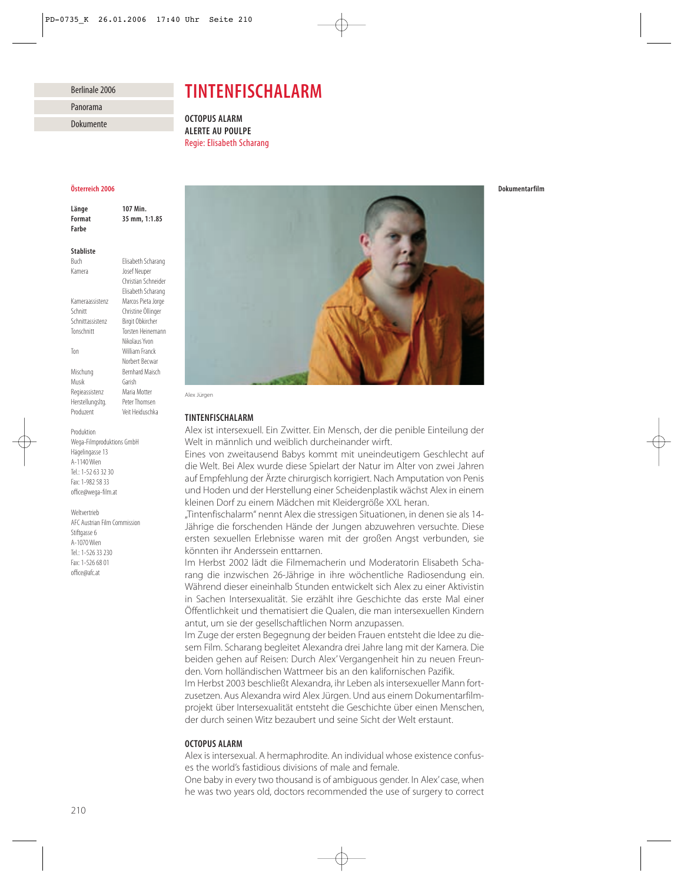#### Berlinale 2006

## Panorama

Dokumente

# *TINTENFISCHALARM*

*OCTOPUS ALARM ALERTE AU POULPE* Regie: Elisabeth Scharang

#### *Österreich 2006*

*Länge 107 Min. Format 35 mm, 1:1.85 Farbe*

#### *Stabliste*

Buch Elisabeth Scharang Kamera Josef Neuper Christian Schneider Elisabeth Scharang Kameraassistenz Marcos Pieta Jorge Schnitt Christine Öllinger Schnittassistenz Birgit Obkircher Tonschnitt Torsten Heinemann Nikolaus Yvon Ton William Franck Norbert Becwar Mischung Bernhard Maisch Musik Garish Regieassistenz Maria Motter Herstellungsltg. Peter Thomsen Produzent Veit Heiduschka

Produktion Wega-Filmproduktions GmbH Hägelingasse 13 A-1140 Wien Tel.: 1-52 63 32 30 Fax: 1-982 58 33 office@wega-film.at

Weltvertrieb AFC Austrian Film Commission Stiftgasse 6 A-1070 Wien Tel.: 1-526 33 230 Fax: 1-526 68 01 office@afc.at



Alex Jürgen

### *TINTENFISCHALARM*

Alex ist intersexuell. Ein Zwitter. Ein Mensch, der die penible Einteilung der Welt in männlich und weiblich durcheinander wirft.

Eines von zweitausend Babys kommt mit uneindeutigem Geschlecht auf die Welt. Bei Alex wurde diese Spielart der Natur im Alter von zwei Jahren auf Empfehlung der Ärzte chirurgisch korrigiert. Nach Amputation von Penis und Hoden und der Herstellung einer Scheidenplastik wächst Alex in einem kleinen Dorf zu einem Mädchen mit Kleidergröße XXL heran.

"Tintenfischalarm" nennt Alex die stressigen Situationen, in denen sie als 14- Jährige die forschenden Hände der Jungen abzuwehren versuchte. Diese ersten sexuellen Erlebnisse waren mit der großen Angst verbunden, sie könnten ihr Anderssein enttarnen.

Im Herbst 2002 lädt die Filmemacherin und Moderatorin Elisabeth Scharang die inzwischen 26-Jährige in ihre wöchentliche Radiosendung ein. Während dieser eineinhalb Stunden entwickelt sich Alex zu einer Aktivistin in Sachen Intersexualität. Sie erzählt ihre Geschichte das erste Mal einer Öffentlichkeit und thematisiert die Qualen, die man intersexuellen Kindern antut, um sie der gesellschaftlichen Norm anzupassen.

Im Zuge der ersten Begegnung der beiden Frauen entsteht die Idee zu diesem Film. Scharang begleitet Alexandra drei Jahre lang mit der Kamera. Die beiden gehen auf Reisen: Durch Alex' Vergangenheit hin zu neuen Freunden. Vom holländischen Wattmeer bis an den kalifornischen Pazifik.

Im Herbst 2003 beschließt Alexandra, ihr Leben als intersexueller Mann fortzusetzen. Aus Alexandra wird Alex Jürgen. Und aus einem Dokumentarfilmprojekt über Intersexualität entsteht die Geschichte über einen Menschen, der durch seinen Witz bezaubert und seine Sicht der Welt erstaunt.

### *OCTOPUS ALARM*

Alex is intersexual. A hermaphrodite. An individual whose existence confuses the world's fastidious divisions of male and female.

One baby in every two thousand is of ambiguous gender. In Alex'case, when he was two years old, doctors recommended the use of surgery to correct *Dokumentarfilm*